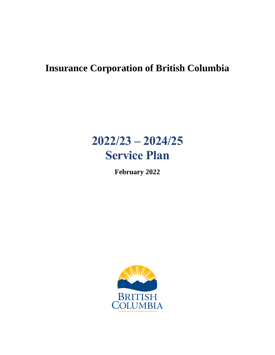## **Insurance Corporation of British Columbia**

# **2022/23 – 2024/25 Service Plan**

**February 2022**

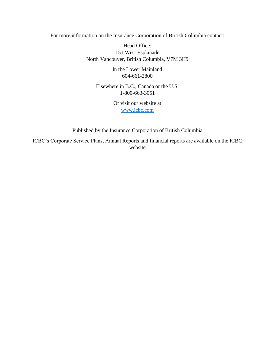For more information on the Insurance Corporation of British Columbia contact:

Head Office: 151 West Esplanade North Vancouver, British Columbia, V7M 3H9

> In the Lower Mainland 604-661-2800

Elsewhere in B.C., Canada or the U.S. 1-800-663-3051

> Or visit our website at [www.icbc.com](http://www.icbc.com/)

Published by the Insurance Corporation of British Columbia

ICBC's Corporate Service Plans, Annual Reports and financial reports are available on the ICBC website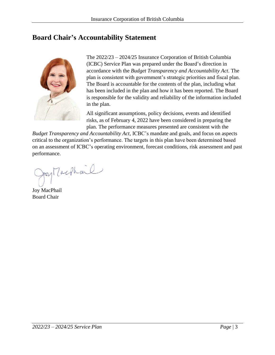### <span id="page-2-0"></span>**Board Chair's Accountability Statement**



The 2022/23 – 2024/25 Insurance Corporation of British Columbia (ICBC) Service Plan was prepared under the Board's direction in accordance with the *Budget Transparency and Accountability Act*. The plan is consistent with government's strategic priorities and fiscal plan. The Board is accountable for the contents of the plan, including what has been included in the plan and how it has been reported. The Board is responsible for the validity and reliability of the information included in the plan.

All significant assumptions, policy decisions, events and identified risks, as of February 4, 2022 have been considered in preparing the plan. The performance measures presented are consistent with the

*Budget Transparency and Accountability Act*, ICBC's mandate and goals, and focus on aspects critical to the organization's performance. The targets in this plan have been determined based on an assessment of ICBC's operating environment, forecast conditions, risk assessment and past performance.

py Machail

Joy MacPhail Board Chair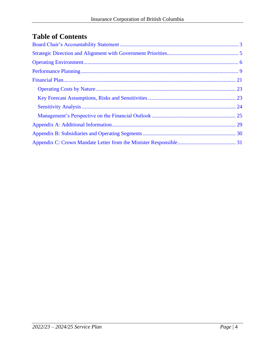## **Table of Contents**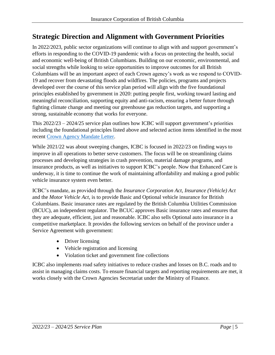### <span id="page-4-0"></span>**Strategic Direction and Alignment with Government Priorities**

In 2022/2023, public sector organizations will continue to align with and support government's efforts in responding to the COVID-19 pandemic with a focus on protecting the health, social and economic well-being of British Columbians. Building on our economic, environmental, and social strengths while looking to seize opportunities to improve outcomes for all British Columbians will be an important aspect of each Crown agency's work as we respond to COVID-19 and recover from devastating floods and wildfires. The policies, programs and projects developed over the course of this service plan period will align with the five foundational principles established by government in 2020: putting people first, working toward lasting and meaningful reconciliation, supporting equity and anti-racism, ensuring a better future through fighting climate change and meeting our greenhouse gas reduction targets, and supporting a strong, sustainable economy that works for everyone.

This 2022/23 – 2024/25 service plan outlines how ICBC will support government's priorities including the foundational principles listed above and selected action items identified in the most recent [Crown Agency Mandate Letter.](#page-30-0)

While 2021/22 was about sweeping changes, ICBC is focused in 2022/23 on finding ways to improve in all operations to better serve customers. The focus will be on streamlining claims processes and developing strategies in crash prevention, material damage programs, and insurance products, as well as initiatives to support ICBC's people. Now that Enhanced Care is underway, it is time to continue the work of maintaining affordability and making a good public vehicle insurance system even better.

ICBC's mandate, as provided through the *Insurance Corporation Act*, *Insurance (Vehicle) Act* and the *Motor Vehicle Act*, is to provide Basic and Optional vehicle insurance for British Columbians. Basic insurance rates are regulated by the British Columbia Utilities Commission (BCUC), an independent regulator. The BCUC approves Basic insurance rates and ensures that they are adequate, efficient, just and reasonable. ICBC also sells Optional auto insurance in a competitive marketplace. It provides the following services on behalf of the province under a Service Agreement with government:

- Driver licensing
- Vehicle registration and licensing
- Violation ticket and government fine collections

ICBC also implements road safety initiatives to reduce crashes and losses on B.C. roads and to assist in managing claims costs. To ensure financial targets and reporting requirements are met, it works closely with the Crown Agencies Secretariat under the Ministry of Finance.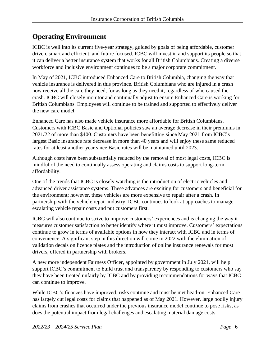## <span id="page-5-0"></span>**Operating Environment**

ICBC is well into its current five-year strategy, guided by goals of being affordable, customer driven, smart and efficient, and future focused. ICBC will invest in and support its people so that it can deliver a better insurance system that works for all British Columbians. Creating a diverse workforce and inclusive environment continues to be a major corporate commitment.

In May of 2021, ICBC introduced Enhanced Care to British Columbia, changing the way that vehicle insurance is delivered in this province. British Columbians who are injured in a crash now receive all the care they need, for as long as they need it, regardless of who caused the crash. ICBC will closely monitor and continually adjust to ensure Enhanced Care is working for British Columbians. Employees will continue to be trained and supported to effectively deliver the new care model.

Enhanced Care has also made vehicle insurance more affordable for British Columbians. Customers with ICBC Basic and Optional policies saw an average decrease in their premiums in 2021/22 of more than \$400. Customers have been benefitting since May 2021 from ICBC's largest Basic insurance rate decrease in more than 40 years and will enjoy these same reduced rates for at least another year since Basic rates will be maintained until 2023.

Although costs have been substantially reduced by the removal of most legal costs, ICBC is mindful of the need to continually assess operating and claims costs to support long-term affordability.

One of the trends that ICBC is closely watching is the introduction of electric vehicles and advanced driver assistance systems. These advances are exciting for customers and beneficial for the environment; however, these vehicles are more expensive to repair after a crash. In partnership with the vehicle repair industry, ICBC continues to look at approaches to manage escalating vehicle repair costs and put customers first.

ICBC will also continue to strive to improve customers' experiences and is changing the way it measures customer satisfaction to better identify where it must improve. Customers' expectations continue to grow in terms of available options in how they interact with ICBC and in terms of convenience. A significant step in this direction will come in 2022 with the elimination of validation decals on licence plates and the introduction of online insurance renewals for most drivers, offered in partnership with brokers.

A new more independent Fairness Officer, appointed by government in July 2021, will help support ICBC's commitment to build trust and transparency by responding to customers who say they have been treated unfairly by ICBC and by providing recommendations for ways that ICBC can continue to improve.

While ICBC's finances have improved, risks continue and must be met head-on. Enhanced Care has largely cut legal costs for claims that happened as of May 2021. However, large bodily injury claims from crashes that occurred under the previous insurance model continue to pose risks, as does the potential impact from legal challenges and escalating material damage costs.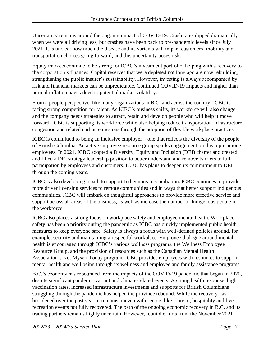Uncertainty remains around the ongoing impact of COVID-19. Crash rates dipped dramatically when we were all driving less, but crashes have been back to pre-pandemic levels since July 2021. It is unclear how much the disease and its variants will impact customers' mobility and transportation choices going forward, and this uncertainty poses risk.

Equity markets continue to be strong for ICBC's investment portfolio, helping with a recovery to the corporation's finances. Capital reserves that were depleted not long ago are now rebuilding, strengthening the public insurer's sustainability. However, investing is always accompanied by risk and financial markets can be unpredictable. Continued COVID-19 impacts and higher than normal inflation have added to potential market volatility.

From a people perspective, like many organizations in B.C. and across the country, ICBC is facing strong competition for talent. As ICBC's business shifts, its workforce will also change and the company needs strategies to attract, retain and develop people who will help it move forward. ICBC is supporting its workforce while also helping reduce transportation infrastructure congestion and related carbon emissions through the adoption of flexible workplace practices.

ICBC is committed to being an inclusive employer – one that reflects the diversity of the people of British Columbia. An active employee resource group sparks engagement on this topic among employees. In 2021, ICBC adopted a Diversity, Equity and Inclusion (DEI) charter and created and filled a DEI strategy leadership position to better understand and remove barriers to full participation by employees and customers. ICBC has plans to deepen its commitment to DEI through the coming years.

ICBC is also developing a path to support Indigenous reconciliation. ICBC continues to provide more driver licensing services to remote communities and in ways that better support Indigenous communities. ICBC will embark on thoughtful approaches to provide more effective service and support across all areas of the business, as well as increase the number of Indigenous people in the workforce.

ICBC also places a strong focus on workplace safety and employee mental health. Workplace safety has been a priority during the pandemic as ICBC has quickly implemented public health measures to keep everyone safe. Safety is always a focus with well-defined policies around, for example, security and maintaining a respectful workplace. Employee dialogue around mental health is encouraged through ICBC's various wellness programs, the Wellness Employee Resource Group, and the provision of resources such as the Canadian Mental Health Association's Not Myself Today program. ICBC provides employees with resources to support mental health and well being through its wellness and employee and family assistance programs.

B.C.'s economy has rebounded from the impacts of the COVID-19 pandemic that began in 2020, despite significant pandemic variant and climate-related events. A strong health response, high vaccination rates, increased infrastructure investments and supports for British Columbians struggling through the pandemic has helped the province rebound. While the recovery has broadened over the past year, it remains uneven with sectors like tourism, hospitality and live recreation events not fully recovered. The path of the ongoing economic recovery in B.C. and its trading partners remains highly uncertain. However, rebuild efforts from the November 2021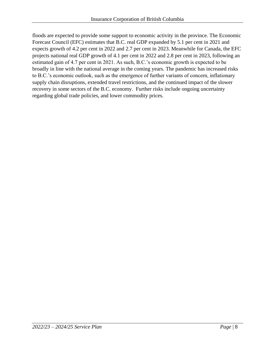floods are expected to provide some support to economic activity in the province. The Economic Forecast Council (EFC) estimates that B.C. real GDP expanded by 5.1 per cent in 2021 and expects growth of 4.2 per cent in 2022 and 2.7 per cent in 2023. Meanwhile for Canada, the EFC projects national real GDP growth of 4.1 per cent in 2022 and 2.8 per cent in 2023, following an estimated gain of 4.7 per cent in 2021. As such, B.C.'s economic growth is expected to be broadly in line with the national average in the coming years. The pandemic has increased risks to B.C.'s economic outlook, such as the emergence of further variants of concern, inflationary supply chain disruptions, extended travel restrictions, and the continued impact of the slower recovery in some sectors of the B.C. economy. Further risks include ongoing uncertainty regarding global trade policies, and lower commodity prices.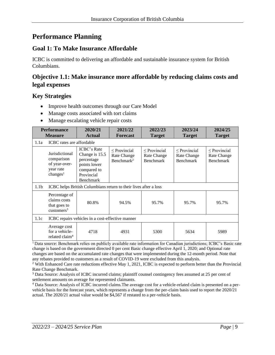### <span id="page-8-0"></span>**Performance Planning**

#### **Goal 1: To Make Insurance Affordable**

ICBC is committed to delivering an affordable and sustainable insurance system for British Columbians.

#### **Objective 1.1: Make insurance more affordable by reducing claims costs and legal expenses**

#### **Key Strategies**

- Improve health outcomes through our Care Model
- Manage costs associated with tort claims
- Manage escalating vehicle repair costs

| <b>Performance</b><br><b>Measure</b> |                                                                                    | 2020/21<br><b>Actual</b>                                                                                     | 2021/22<br><b>Forecast</b>                                        | 2022/23<br><b>Target</b>                             | 2023/24<br><b>Target</b>                      | 2024/25<br><b>Target</b>                             |  |  |  |
|--------------------------------------|------------------------------------------------------------------------------------|--------------------------------------------------------------------------------------------------------------|-------------------------------------------------------------------|------------------------------------------------------|-----------------------------------------------|------------------------------------------------------|--|--|--|
| 1.1a                                 | ICBC rates are affordable                                                          |                                                                                                              |                                                                   |                                                      |                                               |                                                      |  |  |  |
|                                      | Jurisdictional<br>comparison<br>of year-over-<br>year rate<br>changes <sup>1</sup> | <b>ICBC's Rate</b><br>Change is 15.5<br>percentage<br>points lower<br>compared to<br>Provincial<br>Benchmark | $\leq$ Provincial<br><b>Rate Change</b><br>Benchmark <sup>2</sup> | $\leq$ Provincial<br>Rate Change<br><b>Benchmark</b> | $\leq$ Provincial<br>Rate Change<br>Benchmark | $\leq$ Provincial<br>Rate Change<br><b>Benchmark</b> |  |  |  |
| 1.1 <sub>b</sub>                     |                                                                                    | ICBC helps British Columbians return to their lives after a loss                                             |                                                                   |                                                      |                                               |                                                      |  |  |  |
|                                      | Percentage of<br>claims costs<br>that goes to<br>$cuts$ tomers <sup>3</sup>        | 80.8%                                                                                                        | 94.5%                                                             | 95.7%                                                | 95.7%                                         | 95.7%                                                |  |  |  |
| 1.1c                                 | ICBC repairs vehicles in a cost-effective manner                                   |                                                                                                              |                                                                   |                                                      |                                               |                                                      |  |  |  |
|                                      | Average cost<br>for a vehicle-<br>related claim <sup>4</sup>                       | 4718                                                                                                         | 4931                                                              | 5300                                                 | 5634                                          | 5989                                                 |  |  |  |

<sup>1</sup>Data source: Benchmark relies on publicly available rate information for Canadian jurisdictions; ICBC's Basic rate change is based on the government directed 0 per cent Basic change effective April 1, 2020; and Optional rate changes are based on the accumulated rate changes that were implemented during the 12-month period. Note that any rebates provided to customers as a result of COVID-19 were excluded from this analysis.

<sup>2</sup> With Enhanced Care rate reductions effective May 1, 2021, ICBC is expected to perform better than the Provincial Rate Change Benchmark.

<sup>3</sup> Data Source: Analysis of ICBC incurred claims; plaintiff counsel contingency fees assumed at 25 per cent of settlement amounts on average for represented claimants.

<sup>4</sup> Data Source: Analysis of ICBC incurred claims.The average cost for a vehicle-related claim is presented on a pervehicle basis for the forecast years, which represents a change from the per-claim basis used to report the 2020/21 actual. The 2020/21 actual value would be \$4,567 if restated to a per-vehicle basis.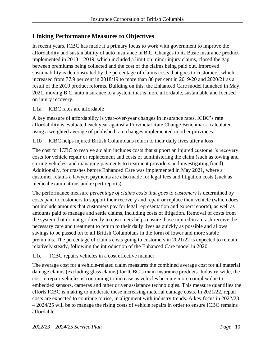#### **Linking Performance Measures to Objectives**

In recent years, ICBC has made it a primary focus to work with government to improve the affordability and sustainability of auto insurance in B.C. Changes to its Basic insurance product implemented in 2018 – 2019, which included a limit on minor injury claims, closed the gap between premiums being collected and the cost of the claims being paid out. Improved sustainability is demonstrated by the percentage of claims costs that goes to customers, which increased from 77.9 per cent in 2018/19 to more than 80 per cent in 2019/20 and 2020/21 as a result of the 2019 product reforms. Building on this, the Enhanced Care model launched in May 2021, moving B.C. auto insurance to a system that is more affordable, sustainable and focused on injury recovery.

1.1a ICBC rates are affordable

A key measure of affordability is year-over-year changes in insurance rates. ICBC's rate affordability is evaluated each year against a Provincial Rate Change Benchmark, calculated using a weighted average of published rate changes implemented in other provinces.

1.1b ICBC helps injured British Columbians return to their daily lives after a loss

The cost for ICBC to resolve a claim includes costs that support an injured customer's recovery, costs for vehicle repair or replacement and costs of administering the claim (such as towing and storing vehicles, and managing payments to treatment providers and investigating fraud). Additionally, for crashes before Enhanced Care was implemented in May 2021, where a customer retains a lawyer, payments are also made for legal fees and litigation costs (such as medical examinations and expert reports).

The performance measure *percentage of claims costs that goes to customers* is determined by costs paid to customers to support their recovery and repair or replace their vehicle (which does not include amounts that customers pay for legal representation and expert reports), as well as amounts paid to manage and settle claims, including costs of litigation. Removal of costs from the system that do not go directly to customers helps ensure those injured in a crash receive the necessary care and treatment to return to their daily lives as quickly as possible and allows savings to be passed on to all British Columbians in the form of lower and more stable premiums. The percentage of claims costs going to customers in 2021/22 is expected to remain relatively steady, following the introduction of the Enhanced Care model in 2020.

#### 1.1c ICBC repairs vehicles in a cost effective manner

The average cost for a vehicle-related claim measures the combined average cost for all material damage claims (excluding glass claims) for ICBC's main insurance products. Industry-wide, the cost to repair vehicles is continuing to increase as vehicles become more complex due to embedded sensors, cameras and other driver assistance technologies. This measure quantifies the efforts ICBC is making to moderate these increasing material damage costs. In 2021/22, repair costs are expected to continue to rise, in alignment with industry trends. A key focus in 2022/23 – 2024/25 will be to manage the rising costs of vehicle repairs in order to ensure ICBC remains affordable.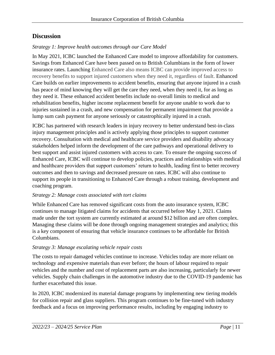#### **Discussion**

#### *Strategy 1: Improve health outcomes through our Care Model*

In May 2021, ICBC launched the Enhanced Care model to improve affordability for customers. Savings from Enhanced Care have been passed on to British Columbians in the form of lower insurance rates. Launching Enhanced Care also means ICBC can provide improved access to recovery benefits to support injured customers when they need it, regardless of fault. Enhanced Care builds on earlier improvements to accident benefits, ensuring that anyone injured in a crash has peace of mind knowing they will get the care they need, when they need it, for as long as they need it. These enhanced accident benefits include no overall limits to medical and rehabilitation benefits, higher income replacement benefit for anyone unable to work due to injuries sustained in a crash, and new compensation for permanent impairment that provide a lump sum cash payment for anyone seriously or catastrophically injured in a crash.

ICBC has partnered with research leaders in injury recovery to better understand best-in-class injury management principles and is actively applying those principles to support customer recovery. Consultation with medical and healthcare service providers and disability advocacy stakeholders helped inform the development of the care pathways and operational delivery to best support and assist injured customers with access to care. To ensure the ongoing success of Enhanced Care, ICBC will continue to develop policies, practices and relationships with medical and healthcare providers that support customers' return to health, leading first to better recovery outcomes and then to savings and decreased pressure on rates. ICBC will also continue to support its people in transitioning to Enhanced Care through a robust training, development and coaching program.

#### *Strategy 2: Manage costs associated with tort claims*

While Enhanced Care has removed significant costs from the auto insurance system, ICBC continues to manage litigated claims for accidents that occurred before May 1, 2021. Claims made under the tort system are currently estimated at around \$12 billion and are often complex. Managing these claims will be done through ongoing management strategies and analytics; this is a key component of ensuring that vehicle insurance continues to be affordable for British Columbians.

#### *Strategy 3: Manage escalating vehicle repair costs*

The costs to repair damaged vehicles continue to increase. Vehicles today are more reliant on technology and expensive materials than ever before; the hours of labour required to repair vehicles and the number and cost of replacement parts are also increasing, particularly for newer vehicles. Supply chain challenges in the automotive industry due to the COVID-19 pandemic has further exacerbated this issue.

In 2020, ICBC modernized its material damage programs by implementing new tiering models for collision repair and glass suppliers. This program continues to be fine-tuned with industry feedback and a focus on improving performance results, including by engaging industry to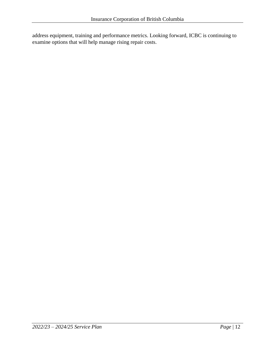address equipment, training and performance metrics. Looking forward, ICBC is continuing to examine options that will help manage rising repair costs.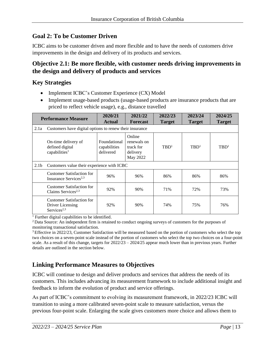#### **Goal 2: To be Customer Driven**

ICBC aims to be customer driven and more flexible and to have the needs of customers drive improvements in the design and delivery of its products and services.

#### **Objective 2.1: Be more flexible, with customer needs driving improvements in the design and delivery of products and services**

#### **Key Strategies**

- Implement ICBC's Customer Experience (CX) Model
- Implement usage-based products (usage-based products are insurance products that are priced to reflect vehicle usage), e.g., distance travelled

| <b>Performance Measure</b> |                                                                                 | 2020/21<br><b>Actual</b>                  | 2021/22<br><b>Forecast</b>                                 | 2022/23<br><b>Target</b> | 2023/24<br><b>Target</b> | 2024/25<br><b>Target</b> |  |  |  |
|----------------------------|---------------------------------------------------------------------------------|-------------------------------------------|------------------------------------------------------------|--------------------------|--------------------------|--------------------------|--|--|--|
| 2.1a                       | Customers have digital options to renew their insurance                         |                                           |                                                            |                          |                          |                          |  |  |  |
|                            | On-time delivery of<br>defined digital<br>capabilities <sup>1</sup>             | Foundational<br>capabilities<br>delivered | Online<br>renewals on<br>track for<br>delivery<br>May 2022 | TBD <sup>1</sup>         | TBD <sup>1</sup>         | TBD <sup>1</sup>         |  |  |  |
| 2.1 <sub>b</sub>           | Customers value their experience with ICBC                                      |                                           |                                                            |                          |                          |                          |  |  |  |
|                            | <b>Customer Satisfaction for</b><br>Insurance Services <sup>2,3</sup>           | 96%                                       | 96%                                                        | 86%                      | 86%                      | 86%                      |  |  |  |
|                            | <b>Customer Satisfaction for</b><br>Claims Services <sup>2,3</sup>              | 92%                                       | 90%                                                        | 71%                      | 72%                      | 73%                      |  |  |  |
|                            | <b>Customer Satisfaction for</b><br>Driver Licensing<br>Services <sup>2,3</sup> | 92%                                       | 90%                                                        | 74%                      | 75%                      | 76%                      |  |  |  |

<sup>1</sup> Further digital capabilities to be identified.

<sup>2</sup> Data Source: An independent firm is retained to conduct ongoing surveys of customers for the purposes of monitoring transactional satisfaction.

<sup>3</sup>Effective in 2022/23, Customer Satisfaction will be measured based on the portion of customers who select the top two choices on a seven-point scale instead of the portion of customers who select the top two choices on a four-point scale. As a result of this change, targets for  $2022/23 - 2024/25$  appear much lower than in previous years. Further details are outlined in the section below.

#### **Linking Performance Measures to Objectives**

ICBC will continue to design and deliver products and services that address the needs of its customers. This includes advancing its measurement framework to include additional insight and feedback to inform the evolution of product and service offerings.

As part of ICBC's commitment to evolving its measurement framework, in 2022/23 ICBC will transition to using a more calibrated seven-point scale to measure satisfaction, versus the previous four-point scale. Enlarging the scale gives customers more choice and allows them to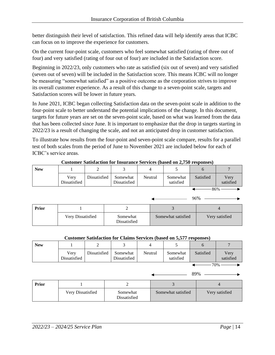better distinguish their level of satisfaction. This refined data will help identify areas that ICBC can focus on to improve the experience for customers.

On the current four-point scale, customers who feel somewhat satisfied (rating of three out of four) and very satisfied (rating of four out of four) are included in the Satisfaction score.

Beginning in 2022/23, only customers who rate as satisfied (six out of seven) and very satisfied (seven out of seven) will be included in the Satisfaction score. This means ICBC will no longer be measuring "somewhat satisfied" as a positive outcome as the corporation strives to improve its overall customer experience. As a result of this change to a seven-point scale, targets and Satisfaction scores will be lower in future years.

In June 2021, ICBC began collecting Satisfaction data on the seven-point scale in addition to the four-point scale to better understand the potential implications of the change. In this document, targets for future years are set on the seven-point scale, based on what was learned from the data that has been collected since June. It is important to emphasize that the drop in targets starting in 2022/23 is a result of changing the scale, and not an anticipated drop in customer satisfaction.

To illustrate how results from the four-point and seven-point scale compare, results for a parallel test of both scales from the period of June to November 2021 are included below for each of ICBC's service areas.

| <b>New</b> |                      | ∠            |                          |         |                       |           |                   |
|------------|----------------------|--------------|--------------------------|---------|-----------------------|-----------|-------------------|
|            | Very<br>Dissatisfied | Dissatisfied | Somewhat<br>Dissatisfied | Neutral | Somewhat<br>satisfied | Satisfied | Very<br>satisfied |
|            |                      |              |                          |         |                       | 86%       |                   |

**Customer Satisfaction for Insurance Services (based on 2,750 responses)**

|       |                   |                          |                    | 90%            |
|-------|-------------------|--------------------------|--------------------|----------------|
| Prior |                   |                          |                    |                |
|       | Very Dissatisfied | Somewhat<br>Dissatisfied | Somewhat satisfied | Very satisfied |

#### **Customer Satisfaction for Claims Services (based on 5,577 responses)**

| Dissatisfied<br>Verv<br>Neutral<br>Somewhat<br>Dissatisfied<br>Dissatisfied | Somewhat<br>satisfied | Satisfied | Verv<br>satisfied |
|-----------------------------------------------------------------------------|-----------------------|-----------|-------------------|

 $-70\%$  —

89%

 $0.60$ 

| Prior |                   |                          |                    |                |  |
|-------|-------------------|--------------------------|--------------------|----------------|--|
|       | Very Dissatisfied | Somewhat<br>Dissatisfied | Somewhat satisfied | Very satisfied |  |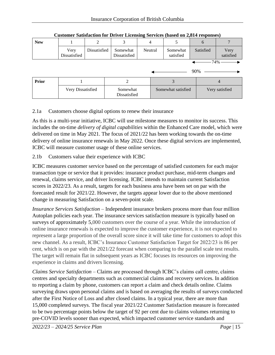| <b>New</b> |                      |              | 3                        |         |                    |                       | $\theta$  |                   |
|------------|----------------------|--------------|--------------------------|---------|--------------------|-----------------------|-----------|-------------------|
|            | Very<br>Dissatisfied | Dissatisfied | Somewhat<br>Dissatisfied | Neutral |                    | Somewhat<br>satisfied | Satisfied | Very<br>satisfied |
|            |                      |              |                          |         |                    |                       |           | -74% -            |
|            |                      |              |                          |         |                    |                       | 90%       |                   |
| Prior      |                      |              |                          |         |                    |                       |           |                   |
|            | Very Dissatisfied    |              | Somewhat                 |         | Somewhat satisfied |                       |           | Very satisfied    |

Dissatisfied

#### **Customer Satisfaction for Driver Licensing Services (based on 2,814 responses)**

#### 2.1a Customers choose digital options to renew their insurance

As this is a multi-year initiative, ICBC will use milestone measures to monitor its success. This includes the on-time *delivery of digital capabilities* within the Enhanced Care model, which were delivered on time in May 2021. The focus of 2021/22 has been working towards the on-time delivery of online insurance renewals in May 2022. Once these digital services are implemented, ICBC will measure customer usage of these online services.

#### 2.1b Customers value their experience with ICBC

ICBC measures customer service based on the percentage of satisfied customers for each major transaction type or service that it provides: insurance product purchase, mid-term changes and renewal, claims service, and driver licensing. ICBC intends to maintain current Satisfaction scores in 2022/23. As a result, targets for each business area have been set on par with the forecasted result for 2021/22. However, the targets appear lower due to the above mentioned change in measuring Satisfaction on a seven-point scale*.*

*Insurance Services Satisfaction* – Independent insurance brokers process more than four million Autoplan policies each year. The insurance services satisfaction measure is typically based on surveys of approximately 5,000 customers over the course of a year. While the introduction of online insurance renewals is expected to improve the customer experience, it is not expected to represent a large proportion of the overall score since it will take time for customers to adopt this new channel. As a result, ICBC's Insurance Customer Satisfaction Target for 2022/23 is 86 per cent, which is on par with the 2021/22 forecast when comparing to the parallel scale test results. The target will remain flat in subsequent years as ICBC focuses its resources on improving the experience in claims and drivers licensing.

*Claims Service Satisfaction –* Claims are processed through ICBC's claims call centre, claims centres and specialty departments such as commercial claims and recovery services. In addition to reporting a claim by phone, customers can report a claim and check details online. Claims surveying draws upon personal claims and is based on averaging the results of surveys conducted after the First Notice of Loss and after closed claims. In a typical year, there are more than 15,000 completed surveys. The fiscal year 2021/22 Customer Satisfaction measure is forecasted to be two percentage points below the target of 92 per cent due to claims volumes returning to pre-COVID levels sooner than expected, which impacted customer service standards and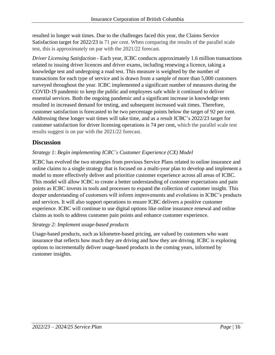resulted in longer wait times. Due to the challenges faced this year, the Claims Service Satisfaction target for 2022/23 is 71 per cent. When comparing the results of the parallel scale test, this is approximately on par with the 2021/22 forecast.

*Driver Licensing Satisfaction -* Each year, ICBC conducts approximately 1.6 million transactions related to issuing driver licences and driver exams, including renewing a licence, taking a knowledge test and undergoing a road test. This measure is weighted by the number of transactions for each type of service and is drawn from a sample of more than 5,000 customers surveyed throughout the year. ICBC implemented a significant number of measures during the COVID-19 pandemic to keep the public and employees safe while it continued to deliver essential services. Both the ongoing pandemic and a significant increase in knowledge tests resulted in increased demand for testing, and subsequent increased wait times. Therefore, customer satisfaction is forecasted to be two percentage points below the target of 92 per cent. Addressing these longer wait times will take time, and as a result ICBC's 2022/23 target for customer satisfaction for driver licensing operations is 74 per cent, which the parallel scale test results suggest is on par with the 2021/22 forecast.

#### **Discussion**

#### *Strategy 1: Begin implementing ICBC's Customer Experience (CX) Model*

ICBC has evolved the two strategies from previous Service Plans related to online insurance and online claims to a single strategy that is focused on a multi-year plan to develop and implement a model to more effectively deliver and prioritize customer experience across all areas of ICBC. This model will allow ICBC to create a better understanding of customer expectations and pain points as ICBC invests in tools and processes to expand the collection of customer insight. This deeper understanding of customers will inform improvements and evolutions in ICBC's products and services. It will also support operations to ensure ICBC delivers a positive customer experience. ICBC will continue to use digital options like online insurance renewal and online claims as tools to address customer pain points and enhance customer experience.

#### *Strategy 2: Implement usage-based products*

Usage-based products, such as kilometre-based pricing, are valued by customers who want insurance that reflects how much they are driving and how they are driving. ICBC is exploring options to incrementally deliver usage-based products in the coming years, informed by customer insights.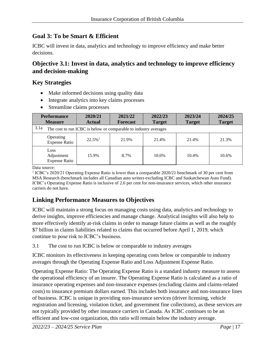#### **Goal 3: To be Smart & Efficient**

ICBC will invest in data, analytics and technology to improve efficiency and make better decisions.

#### **Objective 3.1: Invest in data, analytics and technology to improve efficiency and decision-making**

#### **Key Strategies**

- Make informed decisions using quality data
- Integrate analytics into key claims processes
- Streamline claims processes

| <b>Performance</b> |                                                                  | 2020/21               | 2021/22         | 2022/23       | 2023/24       | 2024/25       |  |  |  |  |
|--------------------|------------------------------------------------------------------|-----------------------|-----------------|---------------|---------------|---------------|--|--|--|--|
|                    | <b>Measure</b>                                                   | <b>Actual</b>         | <b>Forecast</b> | <b>Target</b> | <b>Target</b> | <b>Target</b> |  |  |  |  |
| 3.1a               | The cost to run ICBC is below or comparable to industry averages |                       |                 |               |               |               |  |  |  |  |
|                    | Operating<br><b>Expense Ratio</b>                                | $22.5\%$ <sup>1</sup> | 21.9%           | 21.4%         | 21.4%         | 21.3%         |  |  |  |  |
| Loss               | Adjustment<br><b>Expense Ratio</b>                               | 15.9%                 | 8.7%            | 10.6%         | 10.4%         | 10.6%         |  |  |  |  |

Data source:

<sup>1</sup> ICBC's 2020/21 Operating Expense Ratio is lower than a comparable 2020/21 benchmark of 30 per cent from MSA Research (benchmark includes all Canadian auto writers excluding ICBC and Saskatchewan Auto Fund). ICBC's Operating Expense Ratio is inclusive of 2.6 per cent for non-insurance services, which other insurance carriers do not have.

#### **Linking Performance Measures to Objectives**

ICBC will maintain a strong focus on managing costs using data, analytics and technology to derive insights, improve efficiencies and manage change. Analytical insights will also help to more effectively identify at-risk claims in order to manage future claims as well as the roughly \$7 billion in claims liabilities related to claims that occurred before April 1, 2019, which continue to pose risk to ICBC's business.

3.1 The cost to run ICBC is below or comparable to industry averages

ICBC monitors its effectiveness in keeping operating costs below or comparable to industry averages through the Operating Expense Ratio and Loss Adjustment Expense Ratio.

Operating Expense Ratio: The Operating Expense Ratio is a standard industry measure to assess the operational efficiency of an insurer. The Operating Expense Ratio is calculated as a ratio of insurance operating expenses and non-insurance expenses (excluding claims and claims-related costs) to insurance premium dollars earned. This includes both insurance and non-insurance lines of business. ICBC is unique in providing non-insurance services (driver licensing, vehicle registration and licensing, violation ticket, and government fine collections), as these services are not typically provided by other insurance carriers in Canada. As ICBC continues to be an efficient and low-cost organization, this ratio will remain below the industry average.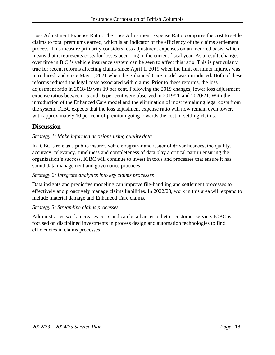Loss Adjustment Expense Ratio: The Loss Adjustment Expense Ratio compares the cost to settle claims to total premiums earned, which is an indicator of the efficiency of the claims settlement process. This measure primarily considers loss adjustment expenses on an incurred basis, which means that it represents costs for losses occurring in the current fiscal year. As a result, changes over time in B.C.'s vehicle insurance system can be seen to affect this ratio. This is particularly true for recent reforms affecting claims since April 1, 2019 when the limit on minor injuries was introduced, and since May 1, 2021 when the Enhanced Care model was introduced. Both of these reforms reduced the legal costs associated with claims. Prior to these reforms, the loss adjustment ratio in 2018/19 was 19 per cent. Following the 2019 changes, lower loss adjustment expense ratios between 15 and 16 per cent were observed in 2019/20 and 2020/21. With the introduction of the Enhanced Care model and the elimination of most remaining legal costs from the system, ICBC expects that the loss adjustment expense ratio will now remain even lower, with approximately 10 per cent of premium going towards the cost of settling claims.

#### **Discussion**

#### *Strategy 1: Make informed decisions using quality data*

In ICBC's role as a public insurer, vehicle registrar and issuer of driver licences, the quality, accuracy, relevancy, timeliness and completeness of data play a critical part in ensuring the organization's success. ICBC will continue to invest in tools and processes that ensure it has sound data management and governance practices.

#### *Strategy 2: Integrate analytics into key claims processes*

Data insights and predictive modeling can improve file-handling and settlement processes to effectively and proactively manage claims liabilities. In 2022/23, work in this area will expand to include material damage and Enhanced Care claims.

#### *Strategy 3: Streamline claims processes*

Administrative work increases costs and can be a barrier to better customer service. ICBC is focused on disciplined investments in process design and automation technologies to find efficiencies in claims processes.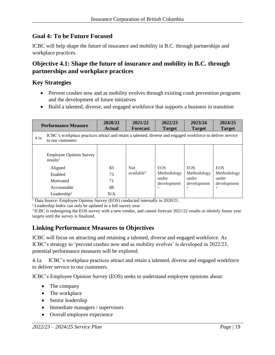#### **Goal 4: To be Future Focused**

ICBC will help shape the future of insurance and mobility in B.C. through partnerships and workplace practices.

#### **Objective 4.1: Shape the future of insurance and mobility in B.C. through partnerships and workplace practices**

#### **Key Strategies**

- Prevent crashes now and as mobility evolves through existing crash prevention programs and the development of future initiatives
- Build a talented, diverse, and engaged workforce that supports a business in transition

|      | <b>Performance Measure</b>                                                                                                          | 2020/21<br><b>Actual</b>    | 2021/22<br><b>Forecast</b>     | 2022/23<br><b>Target</b>                                           | 2023/24<br><b>Target</b>                                           | 2024/25<br><b>Target</b>                               |  |  |  |  |  |
|------|-------------------------------------------------------------------------------------------------------------------------------------|-----------------------------|--------------------------------|--------------------------------------------------------------------|--------------------------------------------------------------------|--------------------------------------------------------|--|--|--|--|--|
| 4.1a | ICBC's workplace practices attract and retain a talented, diverse and engaged workforce to deliver service<br>to our customers      |                             |                                |                                                                    |                                                                    |                                                        |  |  |  |  |  |
|      | <b>Employee Opinion Survey</b><br>results <sup>1</sup><br>Aligned<br>Enabled<br>Motivated<br>Accountable<br>Leadership <sup>2</sup> | 83<br>73<br>71<br>88<br>N/A | Not.<br>available <sup>3</sup> | <b>EOS</b><br>Methodology<br>under<br>development<br>$\mathcal{L}$ | <b>EOS</b><br>Methodology<br>under<br>development<br>$\mathcal{L}$ | <b>EOS</b><br>Methodology<br>under<br>development<br>3 |  |  |  |  |  |

<sup>1</sup> Data Source: Employee Opinion Survey (EOS) conducted internally in 2020/21.

<sup>2</sup>Leadership Index can only be updated in a full survey year.

<sup>3</sup> ICBC is redesigning the EOS survey with a new vendor, and cannot forecast 2021/22 results or identify future year targets until the survey is finalized.

#### **Linking Performance Measures to Objectives**

ICBC will focus on attracting and retaining a talented, diverse and engaged workforce. As ICBC's strategy to 'prevent crashes now and as mobility evolves' is developed in 2022/23, potential performance measures will be explored.

4.1a ICBC's workplace practices attract and retain a talented, diverse and engaged workforce to deliver service to our customers.

ICBC's Employee Opinion Survey (EOS) seeks to understand employee opinions about:

- The company
- The workplace
- Senior leadership
- Immediate managers / supervisors
- Overall employee experience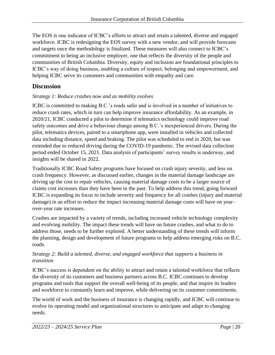The EOS is one indicator of ICBC's efforts to attract and retain a talented, diverse and engaged workforce. ICBC is redesigning the EOS survey with a new vendor, and will provide forecasts and targets once the methodology is finalized. These measures will also connect to ICBC's commitment to being an inclusive employer, one that reflects the diversity of the people and communities of British Columbia. Diversity, equity and inclusion are foundational principles to ICBC's way of doing business, enabling a culture of respect, belonging and empowerment, and helping ICBC serve its customers and communities with empathy and care.

#### **Discussion**

#### *Strategy 1: Reduce crashes now and as mobility evolves*

ICBC is committed to making B.C.'s roads safer and is involved in a number of initiatives to reduce crash rates, which in turn can help improve insurance affordability. As an example, in 2020/21, ICBC conducted a pilot to determine if telematics technology could improve road safety outcomes and drive a behaviour change among B.C.'s inexperienced drivers. During the pilot, telematics devices, paired to a smartphone app, were installed in vehicles and collected data including distance, speed and braking. The pilot was scheduled to end in 2020, but was extended due to reduced driving during the COVID-19 pandemic. The revised data collection period ended October 15, 2021. Data analysis of participants' survey results is underway, and insights will be shared in 2022.

Traditionally ICBC Road Safety programs have focused on crash injury severity, and less on crash frequency. However, as discussed earlier, changes in the material damage landscape are driving up the cost to repair vehicles, causing material damage costs to be a larger source of claims cost increases than they have been in the past. To help address this trend, going forward ICBC is expanding its focus to include severity and frequency for all crashes (injury and material damage) in an effort to reduce the impact increasing material damage costs will have on yearover-year rate increases.

Crashes are impacted by a variety of trends, including increased vehicle technology complexity and evolving mobility. The impact these trends will have on future crashes, and what to do to address those, needs to be further explored. A better understanding of these trends will inform the planning, design and development of future programs to help address emerging risks on B.C. roads.

#### *Strategy 2: Build a talented, diverse, and engaged workforce that supports a business in transition*

ICBC's success is dependent on the ability to attract and retain a talented workforce that reflects the diversity of its customers and business partners across B.C. ICBC continues to develop programs and tools that support the overall well-being of its people, and that inspire its leaders and workforce to constantly learn and improve, while delivering on its customer commitments.

The world of work and the business of insurance is changing rapidly, and ICBC will continue to evolve its operating model and organizational structures to anticipate and adapt to changing needs.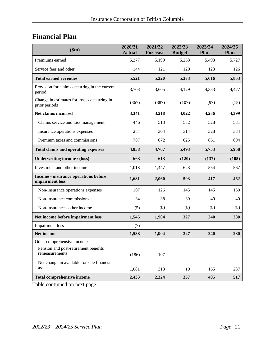## <span id="page-20-0"></span>**Financial Plan**

| \$m\$                                                        | 2020/21<br><b>Actual</b> | 2021/22<br><b>Forecast</b> | 2022/23<br><b>Budget</b> | 2023/24<br><b>Plan</b> | 2024/25<br>Plan |
|--------------------------------------------------------------|--------------------------|----------------------------|--------------------------|------------------------|-----------------|
| Premiums earned                                              | 5,377                    | 5,199                      | 5,253                    | 5,493                  | 5,727           |
| Service fees and other                                       | 144                      | 121                        | 120                      | 123                    | 126             |
| <b>Total earned revenues</b>                                 | 5,521                    | 5,320                      | 5,373                    | 5,616                  | 5,853           |
| Provision for claims occurring in the current<br>period      | 3,708                    | 3,605                      | 4,129                    | 4,333                  | 4,477           |
| Change in estimates for losses occurring in<br>prior periods | (367)                    | (387)                      | (107)                    | (97)                   | (78)            |
| Net claims incurred                                          | 3,341                    | 3,218                      | 4,022                    | 4,236                  | 4,399           |
| Claims service and loss management                           | 446                      | 513                        | 532                      | 528                    | 531             |
| Insurance operations expenses                                | 284                      | 304                        | 314                      | 328                    | 334             |
| Premium taxes and commissions                                | 787                      | 672                        | 625                      | 661                    | 694             |
| <b>Total claims and operating expenses</b>                   | 4,858                    | 4,707                      | 5,493                    | 5,753                  | 5,958           |
| <b>Underwriting income / (loss)</b>                          | 663                      | 613                        | (120)                    | (137)                  | (105)           |
| Investment and other income                                  | 1,018                    | 1,447                      | 623                      | 554                    | 567             |
| Income - insurance operations before<br>impairment loss      | 1,681                    | 2,060                      | 503                      | 417                    | 462             |
| Non-insurance operations expenses                            | 107                      | 126                        | 145                      | 145                    | 150             |
| Non-insurance commissions                                    | 34                       | 38                         | 39                       | 40                     | 40              |
| Non-insurance - other income                                 | (5)                      | (8)                        | (8)                      | (8)                    | (8)             |
| Net income before impairment loss                            | 1,545                    | 1,904                      | 327                      | 240                    | 280             |
| Impairment loss                                              | (7)                      |                            |                          |                        |                 |
| Net income                                                   | 1,538                    | 1,904                      | 327                      | 240                    | 280             |
| Other comprehensive income                                   |                          |                            |                          |                        |                 |
| Pension and post-retirement benefits<br>remeasurements       | (186)                    | 107                        |                          |                        |                 |
| Net change in available for sale financial                   |                          |                            |                          |                        |                 |
| assets                                                       | 1,081                    | 313                        | 10                       | 165                    | 237             |
| <b>Total comprehensive income</b>                            | 2,433                    | 2,324                      | 337                      | 405                    | 517             |

Table continued on next page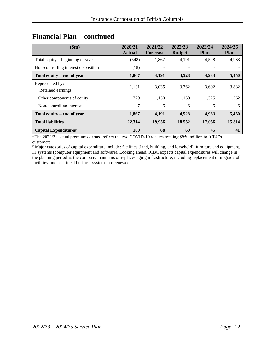| \$m\$                                | 2020/21<br><b>Actual</b> | 2021/22<br><b>Forecast</b> | 2022/23<br><b>Budget</b> | 2023/24<br><b>Plan</b> | 2024/25<br><b>Plan</b> |
|--------------------------------------|--------------------------|----------------------------|--------------------------|------------------------|------------------------|
| Total equity $-$ beginning of year   | (548)                    | 1,867                      | 4,191                    | 4,528                  | 4,933                  |
| Non-controlling interest disposition | (18)                     |                            |                          |                        |                        |
| Total equity – end of year           | 1,867                    | 4,191                      | 4,528                    | 4,933                  | 5,450                  |
| Represented by:<br>Retained earnings | 1,131                    | 3.035                      | 3,362                    | 3,602                  | 3,882                  |
| Other components of equity           | 729                      | 1,150                      | 1,160                    | 1,325                  | 1,562                  |
| Non-controlling interest             | 7                        | 6                          | 6                        | 6                      | 6                      |
| Total equity – end of year           | 1,867                    | 4,191                      | 4,528                    | 4,933                  | 5,450                  |
| <b>Total liabilities</b>             | 22,314                   | 19,956                     | 18,552                   | 17,056                 | 15,814                 |
| Capital Expenditures <sup>2</sup>    | 100                      | 68                         | 60                       | 45                     | 41                     |

### **Financial Plan – continued**

<sup>1</sup>The 2020/21 actual premiums earned reflect the two COVID-19 rebates totaling \$950 million to ICBC's customers.

<sup>2</sup> Major categories of capital expenditure include: facilities (land, building, and leasehold), furniture and equipment, IT systems (computer equipment and software). Looking ahead, ICBC expects capital expenditures will change in the planning period as the company maintains or replaces aging infrastructure, including replacement or upgrade of facilities, and as critical business systems are renewed.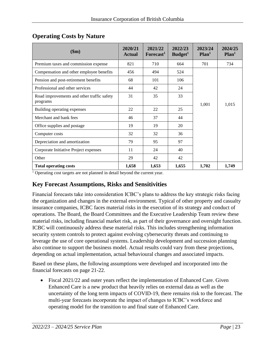| \$m\$                                                  | 2020/21<br><b>Actual</b> | 2021/22<br>Forecast <sup>1</sup> | 2022/23<br>Budget <sup>1</sup> | 2023/24<br>Plan <sup>1</sup> | 2024/25<br>Plan <sup>1</sup> |
|--------------------------------------------------------|--------------------------|----------------------------------|--------------------------------|------------------------------|------------------------------|
| Premium taxes and commission expense                   | 821                      | 710                              | 664                            | 701                          | 734                          |
| Compensation and other employee benefits               | 456                      | 494                              | 524                            |                              |                              |
| Pension and post-retirement benefits                   | 68                       | 101                              | 106                            |                              |                              |
| Professional and other services                        | 44                       | 42                               | 24                             |                              |                              |
| Road improvements and other traffic safety<br>programs | 31                       | 35                               | 33                             | 1,001                        | 1,015                        |
| Building operating expenses                            | 22                       | 22                               | 25                             |                              |                              |
| Merchant and bank fees                                 | 46                       | 37                               | 44                             |                              |                              |
| Office supplies and postage                            | 19                       | 19                               | 20                             |                              |                              |
| Computer costs                                         | 32                       | 32                               | 36                             |                              |                              |
| Depreciation and amortization                          | 79                       | 95                               | 97                             |                              |                              |
| Corporate Initiative Project expenses                  | 11                       | 24                               | 40                             |                              |                              |
| Other                                                  | 29                       | 42                               | 42                             |                              |                              |
| <b>Total operating costs</b>                           | 1,658                    | 1,653                            | 1,655                          | 1,702                        | 1,749                        |

#### <span id="page-22-0"></span>**Operating Costs by Nature**

<sup>1</sup> Operating cost targets are not planned in detail beyond the current year.

#### <span id="page-22-1"></span>**Key Forecast Assumptions, Risks and Sensitivities**

Financial forecasts take into consideration ICBC's plans to address the key strategic risks facing the organization and changes in the external environment. Typical of other property and casualty insurance companies, ICBC faces material risks in the execution of its strategy and conduct of operations. The Board, the Board Committees and the Executive Leadership Team review these material risks, including financial market risk, as part of their governance and oversight function. ICBC will continuously address these material risks. This includes strengthening information security system controls to protect against evolving cybersecurity threats and continuing to leverage the use of core operational systems. Leadership development and succession planning also continue to support the business model. Actual results could vary from these projections, depending on actual implementation, actual behavioural changes and associated impacts.

Based on these plans, the following assumptions were developed and incorporated into the financial forecasts on page 21-22.

• Fiscal 2021/22 and outer years reflect the implementation of Enhanced Care. Given Enhanced Care is a new product that heavily relies on external data as well as the uncertainty of the long term impacts of COVID-19, there remains risk to the forecast. The multi-year forecasts incorporate the impact of changes to ICBC's workforce and operating model for the transition to and final state of Enhanced Care.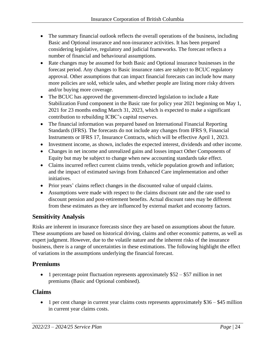- The summary financial outlook reflects the overall operations of the business, including Basic and Optional insurance and non-insurance activities. It has been prepared considering legislative, regulatory and judicial frameworks. The forecast reflects a number of financial and behavioural assumptions.
- Rate changes may be assumed for both Basic and Optional insurance businesses in the forecast period. Any changes to Basic insurance rates are subject to BCUC regulatory approval. Other assumptions that can impact financial forecasts can include how many more policies are sold, vehicle sales, and whether people are listing more risky drivers and/or buying more coverage.
- The BCUC has approved the government-directed legislation to include a Rate Stabilization Fund component in the Basic rate for policy year 2021 beginning on May 1, 2021 for 23 months ending March 31, 2023, which is expected to make a significant contribution to rebuilding ICBC's capital reserves.
- The financial information was prepared based on International Financial Reporting Standards (IFRS). The forecasts do not include any changes from IFRS 9, Financial Instruments or IFRS 17, Insurance Contracts, which will be effective April 1, 2023.
- Investment income, as shown, includes the expected interest, dividends and other income.
- Changes in net income and unrealized gains and losses impact Other Components of Equity but may be subject to change when new accounting standards take effect.
- Claims incurred reflect current claims trends, vehicle population growth and inflation; and the impact of estimated savings from Enhanced Care implementation and other initiatives.
- Prior years' claims reflect changes in the discounted value of unpaid claims.
- Assumptions were made with respect to the claims discount rate and the rate used to discount pension and post-retirement benefits. Actual discount rates may be different from these estimates as they are influenced by external market and economy factors.

#### <span id="page-23-0"></span>**Sensitivity Analysis**

Risks are inherent in insurance forecasts since they are based on assumptions about the future. These assumptions are based on historical driving, claims and other economic patterns, as well as expert judgment. However, due to the volatile nature and the inherent risks of the insurance business, there is a range of uncertainties in these estimations. The following highlight the effect of variations in the assumptions underlying the financial forecast.

#### **Premiums**

• 1 percentage point fluctuation represents approximately \$52 – \$57 million in net premiums (Basic and Optional combined).

#### **Claims**

• 1 per cent change in current year claims costs represents approximately  $$36 - $45$  million in current year claims costs.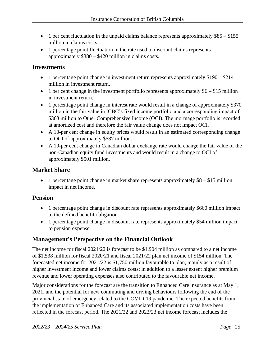- 1 per cent fluctuation in the unpaid claims balance represents approximately \$85 \$155 million in claims costs.
- 1 percentage point fluctuation in the rate used to discount claims represents approximately \$380 – \$420 million in claims costs.

#### **Investments**

- 1 percentage point change in investment return represents approximately \$190 \$214 million in investment return.
- 1 per cent change in the investment portfolio represents approximately  $$6 $15$  million in investment return.
- 1 percentage point change in interest rate would result in a change of approximately \$370 million in the fair value in ICBC's fixed income portfolio and a corresponding impact of \$363 million to Other Comprehensive Income (OCI). The mortgage portfolio is recorded at amortized cost and therefore the fair value change does not impact OCI.
- A 10-per cent change in equity prices would result in an estimated corresponding change to OCI of approximately \$587 million.
- A 10-per cent change in Canadian dollar exchange rate would change the fair value of the non-Canadian equity fund investments and would result in a change to OCI of approximately \$501 million.

#### **Market Share**

• 1 percentage point change in market share represents approximately  $$8 - $15$  million impact in net income.

#### **Pension**

- 1 percentage point change in discount rate represents approximately \$660 million impact to the defined benefit obligation.
- 1 percentage point change in discount rate represents approximately \$54 million impact to pension expense.

#### <span id="page-24-0"></span>**Management's Perspective on the Financial Outlook**

The net income for fiscal 2021/22 is forecast to be \$1,904 million as compared to a net income of \$1,538 million for fiscal 2020/21 and fiscal 2021/22 plan net income of \$154 million. The forecasted net income for 2021/22 is \$1,750 million favourable to plan, mainly as a result of higher investment income and lower claims costs; in addition to a lesser extent higher premium revenue and lower operating expenses also contributed to the favourable net income.

Major considerations for the forecast are the transition to Enhanced Care insurance as at May 1, 2021, and the potential for new commuting and driving behaviours following the end of the provincial state of emergency related to the COVID-19 pandemic. The expected benefits from the implementation of Enhanced Care and its associated implementation costs have been reflected in the forecast period. The 2021/22 and 2022/23 net income forecast includes the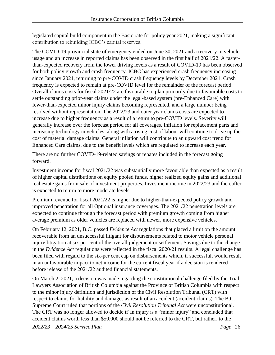legislated capital build component in the Basic rate for policy year 2021, making a significant contribution to rebuilding ICBC's capital reserves.

The COVID-19 provincial state of emergency ended on June 30, 2021 and a recovery in vehicle usage and an increase in reported claims has been observed in the first half of 2021/22. A fasterthan-expected recovery from the lower driving levels as a result of COVID-19 has been observed for both policy growth and crash frequency. ICBC has experienced crash frequency increasing since January 2021, returning to pre-COVID crash frequency levels by December 2021. Crash frequency is expected to remain at pre-COVID level for the remainder of the forecast period. Overall claims costs for fiscal 2021/22 are favourable to plan primarily due to favourable costs to settle outstanding prior-year claims under the legal-based system (pre-Enhanced Care) with fewer-than-expected minor injury claims becoming represented, and a large number being resolved without representation. The 2022/23 and outer year claims costs are expected to increase due to higher frequency as a result of a return to pre-COVID levels. Severity will generally increase over the forecast period for all coverages. Inflation for replacement parts and increasing technology in vehicles, along with a rising cost of labour will continue to drive up the cost of material damage claims. General inflation will contribute to an upward cost trend for Enhanced Care claims, due to the benefit levels which are regulated to increase each year.

There are no further COVID-19-related savings or rebates included in the forecast going forward.

Investment income for fiscal 2021/22 was substantially more favourable than expected as a result of higher capital distributions on equity pooled funds, higher realized equity gains and additional real estate gains from sale of investment properties. Investment income in 2022/23 and thereafter is expected to return to more moderate levels.

Premium revenue for fiscal 2021/22 is higher due to higher-than-expected policy growth and improved penetration for all Optional insurance coverages. The 2021/22 penetration levels are expected to continue through the forecast period with premium growth coming from higher average premium as older vehicles are replaced with newer, more expensive vehicles.

On February 12, 2021, B.C. passed *Evidence Act* regulations that placed a limit on the amount recoverable from an unsuccessful litigant for disbursements related to motor vehicle personal injury litigation at six per cent of the overall judgement or settlement. Savings due to the change in the *Evidence Act* regulations were reflected in the fiscal 2020/21 results. A legal challenge has been filed with regard to the six-per cent cap on disbursements which, if successful, would result in an unfavourable impact to net income for the current fiscal year if a decision is rendered before release of the 2021/22 audited financial statements.

On March 2, 2021, a decision was made regarding the constitutional challenge filed by the Trial Lawyers Association of British Columbia against the Province of British Columbia with respect to the minor injury definition and jurisdiction of the Civil Resolution Tribunal (CRT) with respect to claims for liability and damages as result of an accident (accident claims). The B.C. Supreme Court ruled that portions of the *Civil Resolution Tribunal Act* were unconstitutional. The CRT was no longer allowed to decide if an injury is a "minor injury" and concluded that accident claims worth less than \$50,000 should not be referred to the CRT, but rather, to the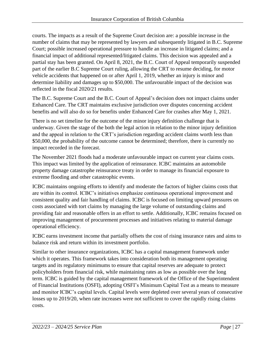courts. The impacts as a result of the Supreme Court decision are: a possible increase in the number of claims that may be represented by lawyers and subsequently litigated in B.C. Supreme Court; possible increased operational pressure to handle an increase in litigated claims; and a financial impact of additional represented/litigated claims. This decision was appealed and a partial stay has been granted. On April 8, 2021, the B.C. Court of Appeal temporarily suspended part of the earlier B.C Supreme Court ruling, allowing the CRT to resume deciding, for motor vehicle accidents that happened on or after April 1, 2019, whether an injury is minor and determine liability and damages up to \$50,000. The unfavourable impact of the decision was reflected in the fiscal 2020/21 results.

The B.C. Supreme Court and the B.C. Court of Appeal's decision does not impact claims under Enhanced Care. The CRT maintains exclusive jurisdiction over disputes concerning accident benefits and will also do so for benefits under Enhanced Care for crashes after May 1, 2021.

There is no set timeline for the outcome of the minor injury definition challenge that is underway. Given the stage of the both the legal action in relation to the minor injury definition and the appeal in relation to the CRT's jurisdiction regarding accident claims worth less than \$50,000, the probability of the outcome cannot be determined; therefore, there is currently no impact recorded in the forecast.

The November 2021 floods had a moderate unfavourable impact on current year claims costs. This impact was limited by the application of reinsurance. ICBC maintains an automobile property damage catastrophe reinsurance treaty in order to manage its financial exposure to extreme flooding and other catastrophic events.

ICBC maintains ongoing efforts to identify and moderate the factors of higher claims costs that are within its control. ICBC's initiatives emphasize continuous operational improvement and consistent quality and fair handling of claims. ICBC is focused on limiting upward pressures on costs associated with tort claims by managing the large volume of outstanding claims and providing fair and reasonable offers in an effort to settle. Additionally, ICBC remains focused on improving management of procurement processes and initiatives relating to material damage operational efficiency.

ICBC earns investment income that partially offsets the cost of rising insurance rates and aims to balance risk and return within its investment portfolio.

Similar to other insurance organizations, ICBC has a capital management framework under which it operates. This framework takes into consideration both its management operating targets and its regulatory minimums to ensure that capital reserves are adequate to protect policyholders from financial risk, while maintaining rates as low as possible over the long term. ICBC is guided by the capital management framework of the Office of the Superintendent of Financial Institutions (OSFI), adopting OSFI's Minimum Capital Test as a means to measure and monitor ICBC's capital levels. Capital levels were depleted over several years of consecutive losses up to 2019/20, when rate increases were not sufficient to cover the rapidly rising claims costs.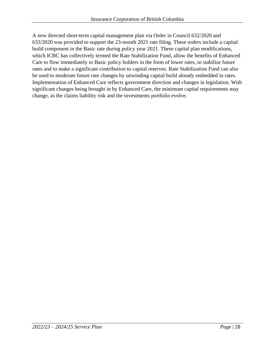A new directed short-term capital management plan via Order in Council 632/2020 and 633/2020 was provided to support the 23-month 2021 rate filing. These orders include a capital build component in the Basic rate during policy year 2021. These capital plan modifications, which ICBC has collectively termed the Rate Stabilization Fund, allow the benefits of Enhanced Care to flow immediately to Basic policy holders in the form of lower rates, to stabilize future rates and to make a significant contribution to capital reserves. Rate Stabilization Fund can also be used to moderate future rate changes by unwinding capital build already embedded in rates. Implementation of Enhanced Care reflects government direction and changes in legislation. With significant changes being brought in by Enhanced Care, the minimum capital requirements may change, as the claims liability risk and the investments portfolio evolve.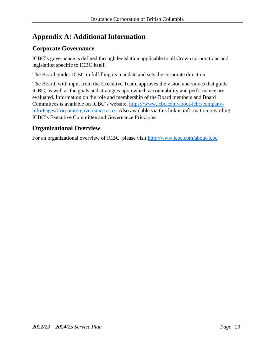## <span id="page-28-0"></span>**Appendix A: Additional Information**

#### **Corporate Governance**

ICBC's governance is defined through legislation applicable to all Crown corporations and legislation specific to ICBC itself.

The Board guides ICBC in fulfilling its mandate and sets the corporate direction.

The Board, with input from the Executive Team, approves the vision and values that guide ICBC, as well as the goals and strategies upon which accountability and performance are evaluated. Information on the role and membership of the Board members and Board Committees is available on ICBC's website, [https://www.icbc.com/about-icbc/company](https://www.icbc.com/about-icbc/company-info/Pages/Corporate-governance.aspx)[info/Pages/Corporate-governance.aspx.](https://www.icbc.com/about-icbc/company-info/Pages/Corporate-governance.aspx) Also available via this link is information regarding ICBC's Executive Committee and Governance Principles.

#### **Organizational Overview**

For an organizational overview of ICBC, please visit [http://www.icbc.com/about-icbc.](http://www.icbc.com/about-icbc)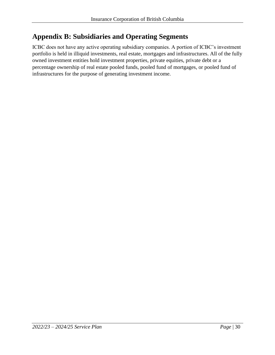## <span id="page-29-0"></span>**Appendix B: Subsidiaries and Operating Segments**

ICBC does not have any active operating subsidiary companies. A portion of ICBC's investment portfolio is held in illiquid investments, real estate, mortgages and infrastructures. All of the fully owned investment entities hold investment properties, private equities, private debt or a percentage ownership of real estate pooled funds, pooled fund of mortgages, or pooled fund of infrastructures for the purpose of generating investment income.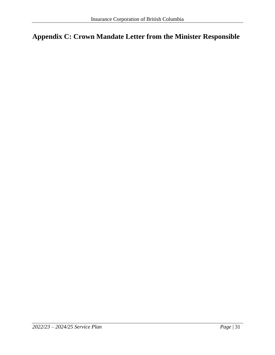## <span id="page-30-0"></span>**Appendix C: Crown Mandate Letter from the Minister Responsible**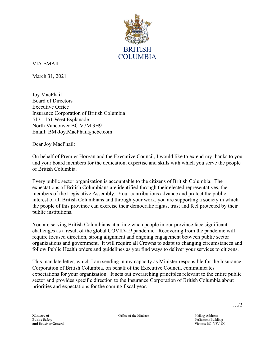

VIA EMAIL

March 31, 2021

Joy MacPhail Board of Directors Executive Office Insurance Corporation of British Columbia 517 - 151 West Esplanade North Vancouver BC V7M 3H9 Email: [BM-Joy.MacPhail@icbc.com](mailto:BM-Joy.MacPhail@icbc.com) 

Dear Joy MacPhail:

On behalf of Premier Horgan and the Executive Council, I would like to extend my thanks to you and your board members for the dedication, expertise and skills with which you serve the people of British Columbia.

Every public sector organization is accountable to the citizens of British Columbia. The expectations of British Columbians are identified through their elected representatives, the members of the Legislative Assembly. Your contributions advance and protect the public interest of all British Columbians and through your work, you are supporting a society in which the people of this province can exercise their democratic rights, trust and feel protected by their public institutions.

You are serving British Columbians at a time when people in our province face significant challenges as a result of the global COVID-19 pandemic. Recovering from the pandemic will require focused direction, strong alignment and ongoing engagement between public sector organizations and government. It will require all Crowns to adapt to changing circumstances and follow Public Health orders and guidelines as you find ways to deliver your services to citizens.

This mandate letter, which I am sending in my capacity as Minister responsible for the Insurance Corporation of British Columbia, on behalf of the Executive Council, communicates expectations for your organization. It sets out overarching principles relevant to the entire public sector and provides specific direction to the Insurance Corporation of British Columbia about priorities and expectations for the coming fiscal year.

…/2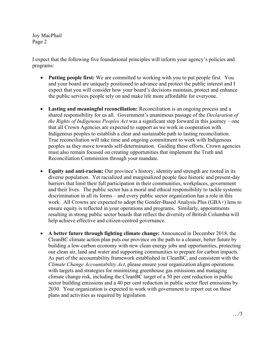Joy MacPhail Page 2

I expect that the following five foundational principles will inform your agency's policies and programs:

- **Putting people first:** We are committed to working with you to put people first. You and your board are uniquely positioned to advance and protect the public interest and I expect that you will consider how your board's decisions maintain, protect and enhance the public services people rely on and make life more affordable for everyone.
- **Lasting and meaningful reconciliation:** Reconciliation is an ongoing process and a shared responsibility for us all. Government's unanimous passage of the *Declaration of the Rights of Indigenous Peoples Act* was a significant step forward in this journey – one that all Crown Agencies are expected to support as we work in cooperation with Indigenous peoples to establish a clear and sustainable path to lasting reconciliation. True reconciliation will take time and ongoing commitment to work with Indigenous peoples as they move towards self-determination. Guiding these efforts, Crown agencies must also remain focused on creating opportunities that implement the Truth and Reconciliation Commission through your mandate.
- **Equity and anti-racism:** Our province's history, identity and strength are rooted in its diverse population. Yet racialized and marginalized people face historic and present-day barriers that limit their full participation in their communities, workplaces, government and their lives. The public sector has a moral and ethical responsibility to tackle systemic discrimination in all its forms – and every public sector organization has a role in this work. All Crowns are expected to adopt the Gender-Based Analysis Plus (GBA+) lens to ensure equity is reflected in your operations and programs. Similarly, appointments resulting in strong public sector boards that reflect the diversity of British Columbia will help achieve effective and citizen-centred governance.
- **A better future through fighting climate change:** Announced in December 2018, the CleanBC climate action plan puts our province on the path to a cleaner, better future by building a low-carbon economy with new clean energy jobs and opportunities, protecting our clean air, land and water and supporting communities to prepare for carbon impacts. As part of the accountability framework established in CleanBC, and consistent with the *Climate Change Accountability Act*, please ensure your organization aligns operations with targets and strategies for minimizing greenhouse gas emissions and managing climate change risk, including the CleanBC target of a 50 per cent reduction in public sector building emissions and a 40 per cent reduction in public sector fleet emissions by 2030. Your organization is expected to work with government to report out on these plans and activities as required by legislation.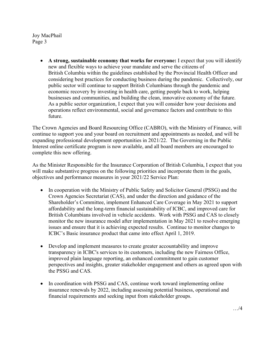Joy MacPhail Page 3

> • **A strong, sustainable economy that works for everyone:** I expect that you will identify new and flexible ways to achieve your mandate and serve the citizens of British Columbia within the guidelines established by the Provincial Health Officer and considering best practices for conducting business during the pandemic. Collectively, our public sector will continue to support British Columbians through the pandemic and economic recovery by investing in health care, getting people back to work, helping businesses and communities, and building the clean, innovative economy of the future. As a public sector organization, I expect that you will consider how your decisions and operations reflect environmental, social and governance factors and contribute to this future.

The Crown Agencies and Board Resourcing Office (CABRO), with the Ministry of Finance, will continue to support you and your board on recruitment and appointments as needed, and will be expanding professional development opportunities in 2021/22. The Governing in the Public Interest online certificate program is now available, and all board members are encouraged to complete this new offering.

As the Minister Responsible for the Insurance Corporation of British Columbia, I expect that you will make substantive progress on the following priorities and incorporate them in the goals, objectives and performance measures in your 2021/22 Service Plan:

- In cooperation with the Ministry of Public Safety and Solicitor General (PSSG) and the Crown Agencies Secretariat (CAS), and under the direction and guidance of the Shareholder's Committee, implement Enhanced Care Coverage in May 2021 to support affordability and the long-term financial sustainability of ICBC, and improved care for British Columbians involved in vehicle accidents. Work with PSSG and CAS to closely monitor the new insurance model after implementation in May 2021 to resolve emerging issues and ensure that it is achieving expected results. Continue to monitor changes to ICBC's Basic insurance product that came into effect April 1, 2019.
- Develop and implement measures to create greater accountability and improve transparency in ICBC's services to its customers, including the new Fairness Office, improved plain language reporting, an enhanced commitment to gain customer perspectives and insights, greater stakeholder engagement and others as agreed upon with the PSSG and CAS.
- In coordination with PSSG and CAS, continue work toward implementing online insurance renewals by 2022, including assessing potential business, operational and financial requirements and seeking input from stakeholder groups.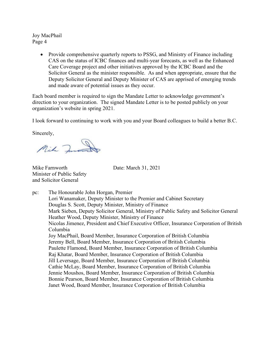Joy MacPhail Page 4

> • Provide comprehensive quarterly reports to PSSG, and Ministry of Finance including CAS on the status of ICBC finances and multi-year forecasts, as well as the Enhanced Care Coverage project and other initiatives approved by the ICBC Board and the Solicitor General as the minister responsible. As and when appropriate, ensure that the Deputy Solicitor General and Deputy Minister of CAS are apprised of emerging trends and made aware of potential issues as they occur.

Each board member is required to sign the Mandate Letter to acknowledge government's direction to your organization. The signed Mandate Letter is to be posted publicly on your organization's website in spring 2021.

I look forward to continuing to work with you and your Board colleagues to build a better B.C.

Sincerely,

Mik Juna

Mike Farnworth Date: March 31, 2021 Minister of Public Safety and Solicitor General

pc: The Honourable John Horgan, Premier Lori Wanamaker, Deputy Minister to the Premier and Cabinet Secretary Douglas S. Scott, Deputy Minister, Ministry of Finance Mark Sieben, Deputy Solicitor General, Ministry of Public Safety and Solicitor General Heather Wood, Deputy Minister, Ministry of Finance Nicolas Jimenez, President and Chief Executive Officer, Insurance Corporation of British Columbia Joy MacPhail, Board Member, Insurance Corporation of British Columbia Jeremy Bell, Board Member, Insurance Corporation of British Columbia Paulette Flamond, Board Member, Insurance Corporation of British Columbia Raj Khatar, Board Member, Insurance Corporation of British Columbia Jill Leversage, Board Member, Insurance Corporation of British Columbia Cathie McLay, Board Member, Insurance Corporation of British Columbia Jennie Moushos, Board Member, Insurance Corporation of British Columbia Bonnie Pearson, Board Member, Insurance Corporation of British Columbia Janet Wood, Board Member, Insurance Corporation of British Columbia